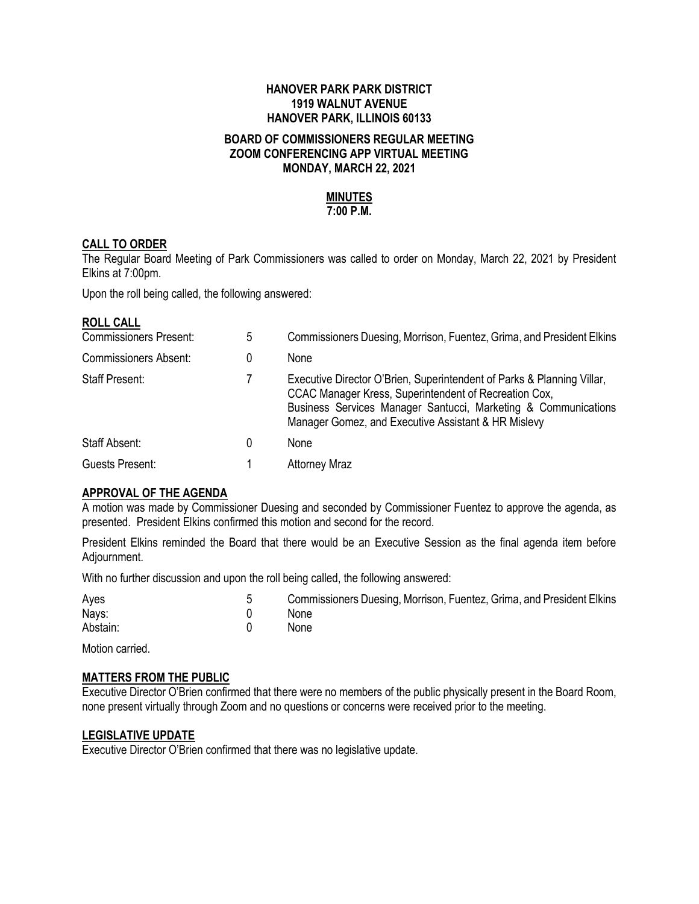#### **HANOVER PARK PARK DISTRICT 1919 WALNUT AVENUE HANOVER PARK, ILLINOIS 60133**

#### **BOARD OF COMMISSIONERS REGULAR MEETING ZOOM CONFERENCING APP VIRTUAL MEETING MONDAY, MARCH 22, 2021**

# **MINUTES**

# **7:00 P.M.**

# **CALL TO ORDER**

The Regular Board Meeting of Park Commissioners was called to order on Monday, March 22, 2021 by President Elkins at 7:00pm.

Upon the roll being called, the following answered:

#### **ROLL CALL**

| <b>Commissioners Present:</b> | 5 | Commissioners Duesing, Morrison, Fuentez, Grima, and President Elkins                                                                                                                                                                                    |
|-------------------------------|---|----------------------------------------------------------------------------------------------------------------------------------------------------------------------------------------------------------------------------------------------------------|
| <b>Commissioners Absent:</b>  | 0 | None                                                                                                                                                                                                                                                     |
| <b>Staff Present:</b>         |   | Executive Director O'Brien, Superintendent of Parks & Planning Villar,<br>CCAC Manager Kress, Superintendent of Recreation Cox,<br>Business Services Manager Santucci, Marketing & Communications<br>Manager Gomez, and Executive Assistant & HR Mislevy |
| Staff Absent:                 | 0 | None                                                                                                                                                                                                                                                     |
| Guests Present:               |   | <b>Attorney Mraz</b>                                                                                                                                                                                                                                     |

# **APPROVAL OF THE AGENDA**

A motion was made by Commissioner Duesing and seconded by Commissioner Fuentez to approve the agenda, as presented. President Elkins confirmed this motion and second for the record.

President Elkins reminded the Board that there would be an Executive Session as the final agenda item before Adjournment.

With no further discussion and upon the roll being called, the following answered:

| Ayes     | Commissioners Duesing, Morrison, Fuentez, Grima, and President Elkins |
|----------|-----------------------------------------------------------------------|
| Nays:    | None                                                                  |
| Abstain: | None                                                                  |

Motion carried.

#### **MATTERS FROM THE PUBLIC**

Executive Director O'Brien confirmed that there were no members of the public physically present in the Board Room, none present virtually through Zoom and no questions or concerns were received prior to the meeting.

#### **LEGISLATIVE UPDATE**

Executive Director O'Brien confirmed that there was no legislative update.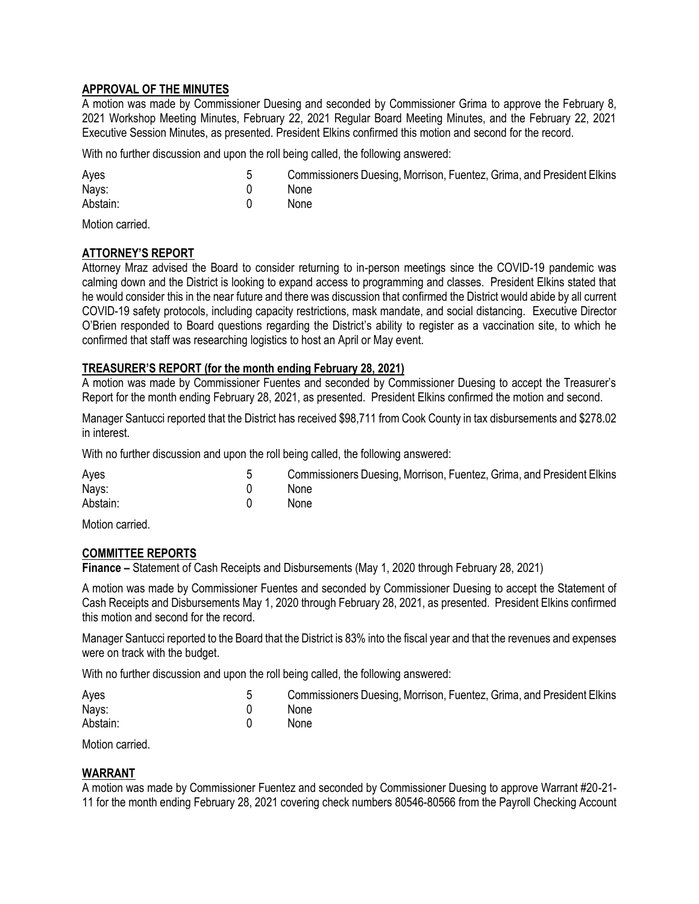# **APPROVAL OF THE MINUTES**

A motion was made by Commissioner Duesing and seconded by Commissioner Grima to approve the February 8, 2021 Workshop Meeting Minutes, February 22, 2021 Regular Board Meeting Minutes, and the February 22, 2021 Executive Session Minutes, as presented. President Elkins confirmed this motion and second for the record.

With no further discussion and upon the roll being called, the following answered:

| Ayes     | Commissioners Duesing, Morrison, Fuentez, Grima, and President Elkins |
|----------|-----------------------------------------------------------------------|
| Nays:    | None                                                                  |
| Abstain: | None                                                                  |

Motion carried.

# **ATTORNEY'S REPORT**

Attorney Mraz advised the Board to consider returning to in-person meetings since the COVID-19 pandemic was calming down and the District is looking to expand access to programming and classes. President Elkins stated that he would consider this in the near future and there was discussion that confirmed the District would abide by all current COVID-19 safety protocols, including capacity restrictions, mask mandate, and social distancing. Executive Director O'Brien responded to Board questions regarding the District's ability to register as a vaccination site, to which he confirmed that staff was researching logistics to host an April or May event.

#### **TREASURER'S REPORT (for the month ending February 28, 2021)**

A motion was made by Commissioner Fuentes and seconded by Commissioner Duesing to accept the Treasurer's Report for the month ending February 28, 2021, as presented. President Elkins confirmed the motion and second.

Manager Santucci reported that the District has received \$98,711 from Cook County in tax disbursements and \$278.02 in interest.

With no further discussion and upon the roll being called, the following answered:

| Ayes     | Commissioners Duesing, Morrison, Fuentez, Grima, and President Elkins |
|----------|-----------------------------------------------------------------------|
| Nays:    | None                                                                  |
| Abstain: | None                                                                  |

Motion carried.

#### **COMMITTEE REPORTS**

**Finance –** Statement of Cash Receipts and Disbursements (May 1, 2020 through February 28, 2021)

A motion was made by Commissioner Fuentes and seconded by Commissioner Duesing to accept the Statement of Cash Receipts and Disbursements May 1, 2020 through February 28, 2021, as presented. President Elkins confirmed this motion and second for the record.

Manager Santucci reported to the Board that the District is 83% into the fiscal year and that the revenues and expenses were on track with the budget.

With no further discussion and upon the roll being called, the following answered:

| Ayes     | Commissioners Duesing, Morrison, Fuentez, Grima, and President Elkins |
|----------|-----------------------------------------------------------------------|
| Nays:    | None                                                                  |
| Abstain: | None                                                                  |

Motion carried.

#### **WARRANT**

A motion was made by Commissioner Fuentez and seconded by Commissioner Duesing to approve Warrant #20-21- 11 for the month ending February 28, 2021 covering check numbers 80546-80566 from the Payroll Checking Account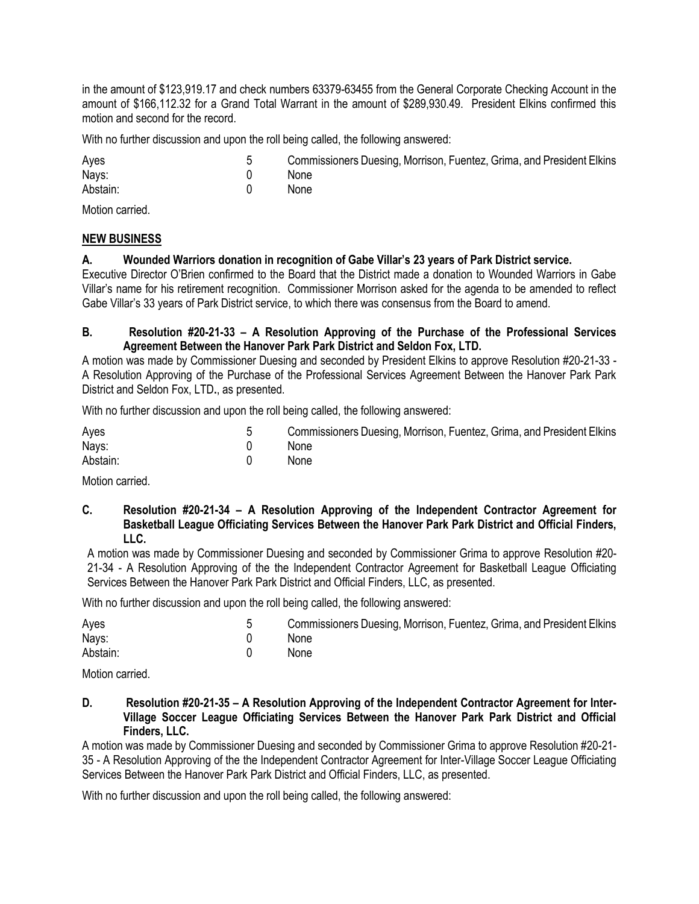in the amount of \$123,919.17 and check numbers 63379-63455 from the General Corporate Checking Account in the amount of \$166,112.32 for a Grand Total Warrant in the amount of \$289,930.49. President Elkins confirmed this motion and second for the record.

With no further discussion and upon the roll being called, the following answered:

| Ayes     | Commissioners Duesing, Morrison, Fuentez, Grima, and President Elkins |
|----------|-----------------------------------------------------------------------|
| Nays:    | None                                                                  |
| Abstain: | None                                                                  |

Motion carried.

# **NEW BUSINESS**

# **A. Wounded Warriors donation in recognition of Gabe Villar's 23 years of Park District service.**

Executive Director O'Brien confirmed to the Board that the District made a donation to Wounded Warriors in Gabe Villar's name for his retirement recognition. Commissioner Morrison asked for the agenda to be amended to reflect Gabe Villar's 33 years of Park District service, to which there was consensus from the Board to amend.

#### **B. Resolution #20-21-33 – A Resolution Approving of the Purchase of the Professional Services Agreement Between the Hanover Park Park District and Seldon Fox, LTD.**

A motion was made by Commissioner Duesing and seconded by President Elkins to approve Resolution #20-21-33 - A Resolution Approving of the Purchase of the Professional Services Agreement Between the Hanover Park Park District and Seldon Fox, LTD**.**, as presented.

With no further discussion and upon the roll being called, the following answered:

| Ayes     | Commissioners Duesing, Morrison, Fuentez, Grima, and President Elkins |
|----------|-----------------------------------------------------------------------|
| Nays:    | None                                                                  |
| Abstain: | None                                                                  |

Motion carried.

**C. Resolution #20-21-34 – A Resolution Approving of the Independent Contractor Agreement for Basketball League Officiating Services Between the Hanover Park Park District and Official Finders, LLC.**

A motion was made by Commissioner Duesing and seconded by Commissioner Grima to approve Resolution #20- 21-34 - A Resolution Approving of the the Independent Contractor Agreement for Basketball League Officiating Services Between the Hanover Park Park District and Official Finders, LLC, as presented.

With no further discussion and upon the roll being called, the following answered:

| Ayes     | Commissioners Duesing, Morrison, Fuentez, Grima, and President Elkins |
|----------|-----------------------------------------------------------------------|
| Nays:    | None                                                                  |
| Abstain: | None                                                                  |

Motion carried.

**D. Resolution #20-21-35 – A Resolution Approving of the Independent Contractor Agreement for Inter-Village Soccer League Officiating Services Between the Hanover Park Park District and Official Finders, LLC.**

A motion was made by Commissioner Duesing and seconded by Commissioner Grima to approve Resolution #20-21- 35 - A Resolution Approving of the the Independent Contractor Agreement for Inter-Village Soccer League Officiating Services Between the Hanover Park Park District and Official Finders, LLC, as presented.

With no further discussion and upon the roll being called, the following answered: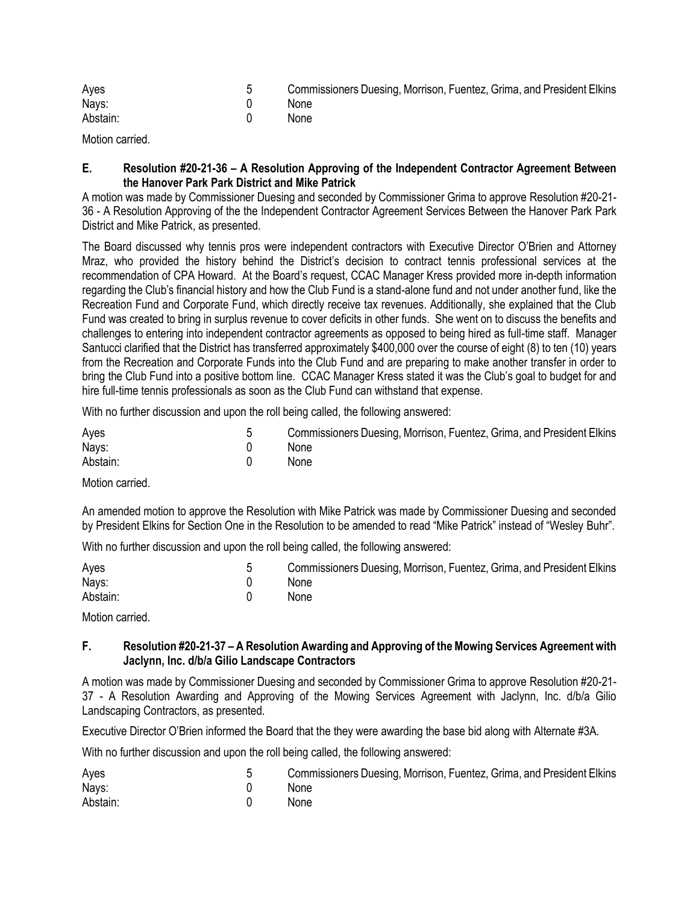| Ayes     | Commissioners Duesing, Morrison, Fuentez, Grima, and President Elkins |
|----------|-----------------------------------------------------------------------|
| Nays:    | None                                                                  |
| Abstain: | None                                                                  |

Motion carried.

#### **E. Resolution #20-21-36 – A Resolution Approving of the Independent Contractor Agreement Between the Hanover Park Park District and Mike Patrick**

A motion was made by Commissioner Duesing and seconded by Commissioner Grima to approve Resolution #20-21- 36 - A Resolution Approving of the the Independent Contractor Agreement Services Between the Hanover Park Park District and Mike Patrick, as presented.

The Board discussed why tennis pros were independent contractors with Executive Director O'Brien and Attorney Mraz, who provided the history behind the District's decision to contract tennis professional services at the recommendation of CPA Howard. At the Board's request, CCAC Manager Kress provided more in-depth information regarding the Club's financial history and how the Club Fund is a stand-alone fund and not under another fund, like the Recreation Fund and Corporate Fund, which directly receive tax revenues. Additionally, she explained that the Club Fund was created to bring in surplus revenue to cover deficits in other funds. She went on to discuss the benefits and challenges to entering into independent contractor agreements as opposed to being hired as full-time staff. Manager Santucci clarified that the District has transferred approximately \$400,000 over the course of eight (8) to ten (10) years from the Recreation and Corporate Funds into the Club Fund and are preparing to make another transfer in order to bring the Club Fund into a positive bottom line. CCAC Manager Kress stated it was the Club's goal to budget for and hire full-time tennis professionals as soon as the Club Fund can withstand that expense.

With no further discussion and upon the roll being called, the following answered:

| Ayes     | Commissioners Duesing, Morrison, Fuentez, Grima, and President Elkins |
|----------|-----------------------------------------------------------------------|
| Nays:    | None                                                                  |
| Abstain: | None                                                                  |

Motion carried.

An amended motion to approve the Resolution with Mike Patrick was made by Commissioner Duesing and seconded by President Elkins for Section One in the Resolution to be amended to read "Mike Patrick" instead of "Wesley Buhr".

With no further discussion and upon the roll being called, the following answered:

| Ayes     | Commissioners Duesing, Morrison, Fuentez, Grima, and President Elkins |
|----------|-----------------------------------------------------------------------|
| Nays:    | None                                                                  |
| Abstain: | None                                                                  |

Motion carried.

#### **F. Resolution #20-21-37 – A Resolution Awarding and Approving of the Mowing Services Agreement with Jaclynn, Inc. d/b/a Gilio Landscape Contractors**

A motion was made by Commissioner Duesing and seconded by Commissioner Grima to approve Resolution #20-21- 37 - A Resolution Awarding and Approving of the Mowing Services Agreement with Jaclynn, Inc. d/b/a Gilio Landscaping Contractors, as presented.

Executive Director O'Brien informed the Board that the they were awarding the base bid along with Alternate #3A.

With no further discussion and upon the roll being called, the following answered:

| Ayes     | Commissioners Duesing, Morrison, Fuentez, Grima, and President Elkins |
|----------|-----------------------------------------------------------------------|
| Nays:    | None                                                                  |
| Abstain: | None                                                                  |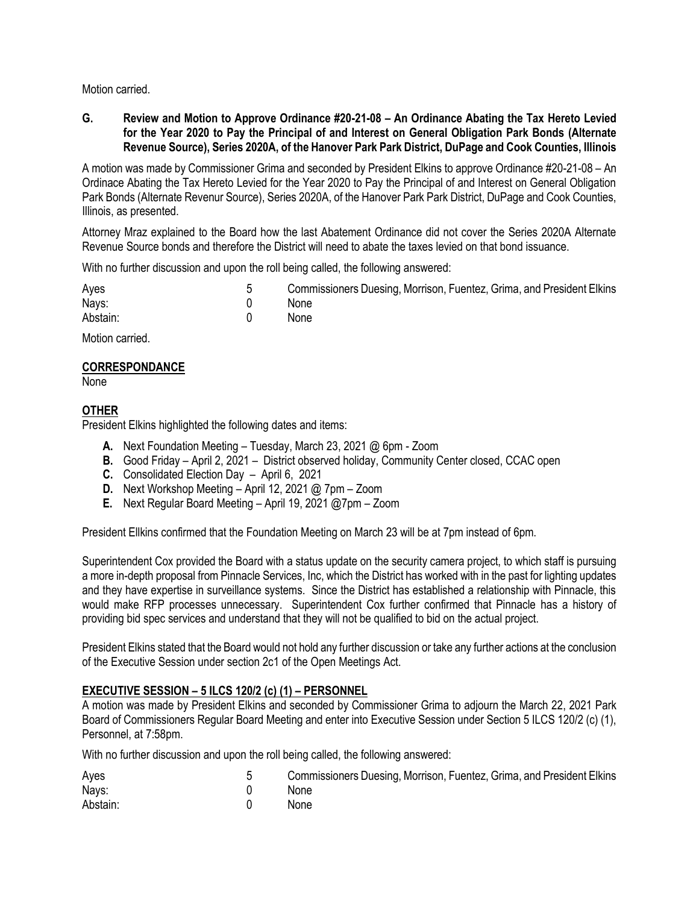Motion carried.

**G. Review and Motion to Approve Ordinance #20-21-08 – An Ordinance Abating the Tax Hereto Levied for the Year 2020 to Pay the Principal of and Interest on General Obligation Park Bonds (Alternate Revenue Source), Series 2020A, of the Hanover Park Park District, DuPage and Cook Counties, Illinois**

A motion was made by Commissioner Grima and seconded by President Elkins to approve Ordinance #20-21-08 – An Ordinace Abating the Tax Hereto Levied for the Year 2020 to Pay the Principal of and Interest on General Obligation Park Bonds (Alternate Revenur Source), Series 2020A, of the Hanover Park Park District, DuPage and Cook Counties, Illinois, as presented.

Attorney Mraz explained to the Board how the last Abatement Ordinance did not cover the Series 2020A Alternate Revenue Source bonds and therefore the District will need to abate the taxes levied on that bond issuance.

With no further discussion and upon the roll being called, the following answered:

| Ayes     | Commissioners Duesing, Morrison, Fuentez, Grima, and President Elkins |
|----------|-----------------------------------------------------------------------|
| Nays:    | None                                                                  |
| Abstain: | None                                                                  |

Motion carried.

#### **CORRESPONDANCE**

None

# **OTHER**

President Elkins highlighted the following dates and items:

- **A.** Next Foundation Meeting Tuesday, March 23, 2021 @ 6pm Zoom
- **B.** Good Friday April 2, 2021 District observed holiday, Community Center closed, CCAC open
- **C.** Consolidated Election Day April 6, 2021
- **D.** Next Workshop Meeting April 12, 2021 @ 7pm Zoom
- **E.** Next Regular Board Meeting April 19, 2021 @7pm Zoom

President Ellkins confirmed that the Foundation Meeting on March 23 will be at 7pm instead of 6pm.

Superintendent Cox provided the Board with a status update on the security camera project, to which staff is pursuing a more in-depth proposal from Pinnacle Services, Inc, which the District has worked with in the past for lighting updates and they have expertise in surveillance systems. Since the District has established a relationship with Pinnacle, this would make RFP processes unnecessary. Superintendent Cox further confirmed that Pinnacle has a history of providing bid spec services and understand that they will not be qualified to bid on the actual project.

President Elkins stated that the Board would not hold any further discussion or take any further actions at the conclusion of the Executive Session under section 2c1 of the Open Meetings Act.

# **EXECUTIVE SESSION – 5 ILCS 120/2 (c) (1) – PERSONNEL**

A motion was made by President Elkins and seconded by Commissioner Grima to adjourn the March 22, 2021 Park Board of Commissioners Regular Board Meeting and enter into Executive Session under Section 5 ILCS 120/2 (c) (1), Personnel, at 7:58pm.

With no further discussion and upon the roll being called, the following answered:

| Ayes     | Commissioners Duesing, Morrison, Fuentez, Grima, and President Elkins |
|----------|-----------------------------------------------------------------------|
| Nays:    | None                                                                  |
| Abstain: | None                                                                  |